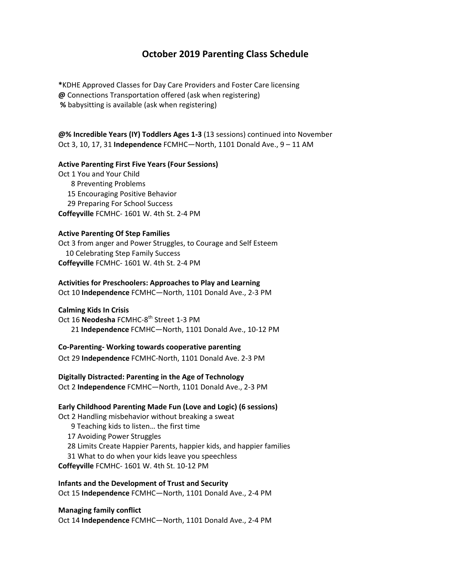# **October 2019 Parenting Class Schedule**

**\***KDHE Approved Classes for Day Care Providers and Foster Care licensing **@** Connections Transportation offered (ask when registering) **%** babysitting is available (ask when registering)

**@% Incredible Years (IY) Toddlers Ages 1‐3** (13 sessions) continued into November Oct 3, 10, 17, 31 **Independence** FCMHC—North, 1101 Donald Ave., 9 – 11 AM

#### **Active Parenting First Five Years (Four Sessions)**

Oct 1 You and Your Child 8 Preventing Problems 15 Encouraging Positive Behavior 29 Preparing For School Success **Coffeyville** FCMHC‐ 1601 W. 4th St. 2‐4 PM

#### **Active Parenting Of Step Families**

Oct 3 from anger and Power Struggles, to Courage and Self Esteem 10 Celebrating Step Family Success **Coffeyville** FCMHC‐ 1601 W. 4th St. 2‐4 PM

#### **Activities for Preschoolers: Approaches to Play and Learning**

Oct 10 **Independence** FCMHC—North, 1101 Donald Ave., 2‐3 PM

## **Calming Kids In Crisis**

Oct 16 **Neodesha** FCMHC-8<sup>th</sup> Street 1-3 PM 21 **Independence** FCMHC—North, 1101 Donald Ave., 10‐12 PM

## **Co‐Parenting‐ Working towards cooperative parenting**

Oct 29 **Independence** FCMHC‐North, 1101 Donald Ave. 2‐3 PM

**Digitally Distracted: Parenting in the Age of Technology** Oct 2 **Independence** FCMHC—North, 1101 Donald Ave., 2‐3 PM

## **Early Childhood Parenting Made Fun (Love and Logic) (6 sessions)**

Oct 2 Handling misbehavior without breaking a sweat

- 9 Teaching kids to listen… the first time
- 17 Avoiding Power Struggles
- 28 Limits Create Happier Parents, happier kids, and happier families
- 31 What to do when your kids leave you speechless

**Coffeyville** FCMHC‐ 1601 W. 4th St. 10‐12 PM

**Infants and the Development of Trust and Security** Oct 15 **Independence** FCMHC—North, 1101 Donald Ave., 2‐4 PM

## **Managing family conflict**

Oct 14 **Independence** FCMHC—North, 1101 Donald Ave., 2‐4 PM